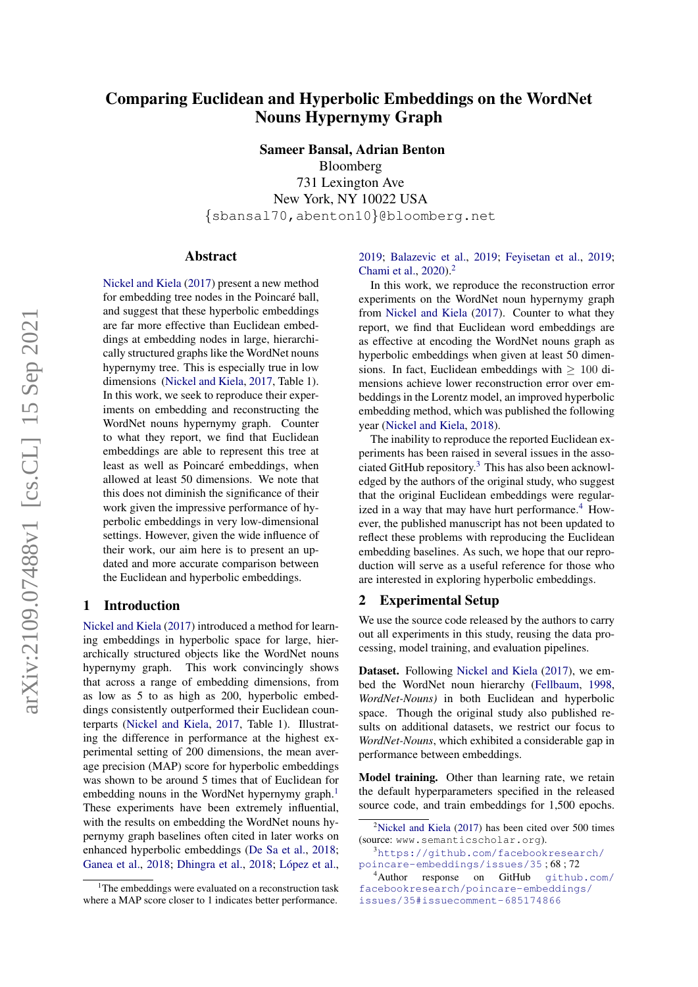# Comparing Euclidean and Hyperbolic Embeddings on the WordNet Nouns Hypernymy Graph

Sameer Bansal, Adrian Benton Bloomberg 731 Lexington Ave New York, NY 10022 USA {sbansal70,abenton10}@bloomberg.net

#### Abstract

[Nickel and Kiela](#page-3-0) [\(2017\)](#page-3-0) present a new method for embedding tree nodes in the Poincaré ball, and suggest that these hyperbolic embeddings are far more effective than Euclidean embeddings at embedding nodes in large, hierarchically structured graphs like the WordNet nouns hypernymy tree. This is especially true in low dimensions [\(Nickel and Kiela,](#page-3-0) [2017,](#page-3-0) Table 1). In this work, we seek to reproduce their experiments on embedding and reconstructing the WordNet nouns hypernymy graph. Counter to what they report, we find that Euclidean embeddings are able to represent this tree at least as well as Poincaré embeddings, when allowed at least 50 dimensions. We note that this does not diminish the significance of their work given the impressive performance of hyperbolic embeddings in very low-dimensional settings. However, given the wide influence of their work, our aim here is to present an updated and more accurate comparison between the Euclidean and hyperbolic embeddings.

#### 1 Introduction

[Nickel and Kiela](#page-3-0) [\(2017\)](#page-3-0) introduced a method for learning embeddings in hyperbolic space for large, hierarchically structured objects like the WordNet nouns hypernymy graph. This work convincingly shows that across a range of embedding dimensions, from as low as 5 to as high as 200, hyperbolic embeddings consistently outperformed their Euclidean counterparts [\(Nickel and Kiela,](#page-3-0) [2017,](#page-3-0) Table 1). Illustrating the difference in performance at the highest experimental setting of 200 dimensions, the mean average precision (MAP) score for hyperbolic embeddings was shown to be around 5 times that of Euclidean for embedding nouns in the WordNet hypernymy graph.<sup>[1](#page-0-0)</sup> These experiments have been extremely influential, with the results on embedding the WordNet nouns hypernymy graph baselines often cited in later works on enhanced hyperbolic embeddings [\(De Sa et al.,](#page-3-1) [2018;](#page-3-1) [Ganea et al.,](#page-3-2) [2018;](#page-3-3) [Dhingra et al.,](#page-3-3) 2018; López et al.,

[2019;](#page-3-4) [Balazevic et al.,](#page-3-5) [2019;](#page-3-5) [Feyisetan et al.,](#page-3-6) [2019;](#page-3-6) [Chami et al.,](#page-3-7) [2020\)](#page-3-7).<sup>[2](#page-0-1)</sup>

In this work, we reproduce the reconstruction error experiments on the WordNet noun hypernymy graph from [Nickel and Kiela](#page-3-0) [\(2017\)](#page-3-0). Counter to what they report, we find that Euclidean word embeddings are as effective at encoding the WordNet nouns graph as hyperbolic embeddings when given at least 50 dimensions. In fact, Euclidean embeddings with  $> 100$  dimensions achieve lower reconstruction error over embeddings in the Lorentz model, an improved hyperbolic embedding method, which was published the following year [\(Nickel and Kiela,](#page-3-8) [2018\)](#page-3-8).

The inability to reproduce the reported Euclidean experiments has been raised in several issues in the associated GitHub repository.[3](#page-0-2) This has also been acknowledged by the authors of the original study, who suggest that the original Euclidean embeddings were regular-ized in a way that may have hurt performance.<sup>[4](#page-0-3)</sup> However, the published manuscript has not been updated to reflect these problems with reproducing the Euclidean embedding baselines. As such, we hope that our reproduction will serve as a useful reference for those who are interested in exploring hyperbolic embeddings.

#### 2 Experimental Setup

We use the source code released by the authors to carry out all experiments in this study, reusing the data processing, model training, and evaluation pipelines.

Dataset. Following [Nickel and Kiela](#page-3-0) [\(2017\)](#page-3-0), we embed the WordNet noun hierarchy [\(Fellbaum,](#page-3-9) [1998,](#page-3-9) *WordNet-Nouns)* in both Euclidean and hyperbolic space. Though the original study also published results on additional datasets, we restrict our focus to *WordNet-Nouns*, which exhibited a considerable gap in performance between embeddings.

Model training. Other than learning rate, we retain the default hyperparameters specified in the released source code, and train embeddings for 1,500 epochs.

<span id="page-0-0"></span><sup>&</sup>lt;sup>1</sup>The embeddings were evaluated on a reconstruction task where a MAP score closer to 1 indicates better performance.

<span id="page-0-1"></span> $2$ [Nickel and Kiela](#page-3-0) [\(2017\)](#page-3-0) has been cited over 500 times (source: www.semanticscholar.org).

<span id="page-0-2"></span><sup>3</sup>[https://github.com/facebookresearch/](https://github.com/facebookresearch/poincare-embeddings/issues/35) [poincare-embeddings/issues/35](https://github.com/facebookresearch/poincare-embeddings/issues/35) ; 68 ; 72

<span id="page-0-3"></span><sup>4</sup>Author response on GitHub [github.com/](github.com/facebookresearch/poincare-embeddings/issues/35#issuecomment-685174866) [facebookresearch/poincare-embeddings/](github.com/facebookresearch/poincare-embeddings/issues/35#issuecomment-685174866) [issues/35#issuecomment-685174866](github.com/facebookresearch/poincare-embeddings/issues/35#issuecomment-685174866)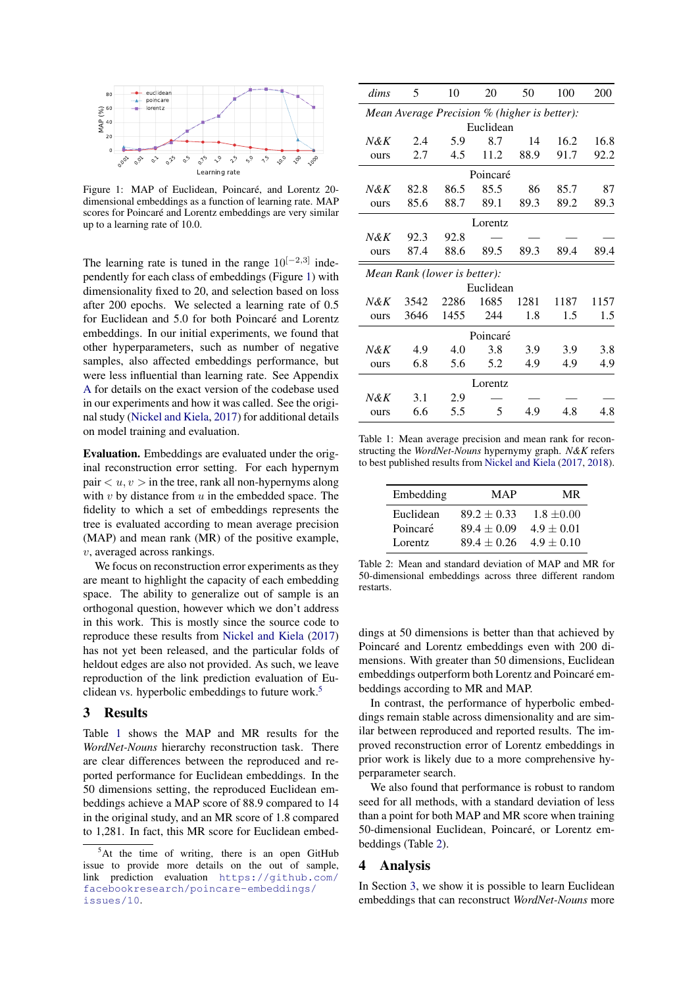<span id="page-1-0"></span>

Figure 1: MAP of Euclidean, Poincaré, and Lorentz 20dimensional embeddings as a function of learning rate. MAP scores for Poincaré and Lorentz embeddings are very similar up to a learning rate of 10.0.

The learning rate is tuned in the range  $10^{[-2,3]}$  independently for each class of embeddings (Figure [1\)](#page-1-0) with dimensionality fixed to 20, and selection based on loss after 200 epochs. We selected a learning rate of 0.5 for Euclidean and 5.0 for both Poincaré and Lorentz embeddings. In our initial experiments, we found that other hyperparameters, such as number of negative samples, also affected embeddings performance, but were less influential than learning rate. See Appendix [A](#page-4-0) for details on the exact version of the codebase used in our experiments and how it was called. See the original study [\(Nickel and Kiela,](#page-3-0) [2017\)](#page-3-0) for additional details on model training and evaluation.

Evaluation. Embeddings are evaluated under the original reconstruction error setting. For each hypernym pair  $\langle u, v \rangle$  in the tree, rank all non-hypernyms along with  $v$  by distance from  $u$  in the embedded space. The fidelity to which a set of embeddings represents the tree is evaluated according to mean average precision (MAP) and mean rank (MR) of the positive example, v, averaged across rankings.

We focus on reconstruction error experiments as they are meant to highlight the capacity of each embedding space. The ability to generalize out of sample is an orthogonal question, however which we don't address in this work. This is mostly since the source code to reproduce these results from [Nickel and Kiela](#page-3-0) [\(2017\)](#page-3-0) has not yet been released, and the particular folds of heldout edges are also not provided. As such, we leave reproduction of the link prediction evaluation of Eu-clidean vs. hyperbolic embeddings to future work.<sup>[5](#page-1-1)</sup>

#### <span id="page-1-4"></span>3 Results

Table [1](#page-1-2) shows the MAP and MR results for the *WordNet-Nouns* hierarchy reconstruction task. There are clear differences between the reproduced and reported performance for Euclidean embeddings. In the 50 dimensions setting, the reproduced Euclidean embeddings achieve a MAP score of 88.9 compared to 14 in the original study, and an MR score of 1.8 compared to 1,281. In fact, this MR score for Euclidean embed-

<span id="page-1-2"></span>

| dims                                         | 5    | 10   | 20   | 50   | 100  | <b>200</b> |
|----------------------------------------------|------|------|------|------|------|------------|
| Mean Average Precision % (higher is better): |      |      |      |      |      |            |
| Euclidean                                    |      |      |      |      |      |            |
| $N\&K$                                       | 2.4  | 5.9  | 8.7  | 14   | 16.2 | 16.8       |
| ours                                         | 2.7  | 4.5  | 11.2 | 88.9 | 91.7 | 92.2       |
| Poincaré                                     |      |      |      |      |      |            |
| $N\&K$                                       | 82.8 | 86.5 | 85.5 | 86   | 85.7 | 87         |
| ours                                         | 85.6 | 88.7 | 89.1 | 89.3 | 89.2 | 89.3       |
| Lorentz                                      |      |      |      |      |      |            |
| N&K                                          | 92.3 | 92.8 |      |      |      |            |
| ours                                         | 87.4 | 88.6 | 89.5 | 89.3 | 89.4 | 89.4       |
| Mean Rank (lower is better):                 |      |      |      |      |      |            |
| Euclidean                                    |      |      |      |      |      |            |
| $N\&K$                                       | 3542 | 2286 | 1685 | 1281 | 1187 | 1157       |
| ours                                         | 3646 | 1455 | 244  | 1.8  | 1.5  | 1.5        |
| Poincaré                                     |      |      |      |      |      |            |
| $N\&K$                                       | 4.9  | 4.0  | 3.8  | 3.9  | 3.9  | 3.8        |
| ours                                         | 6.8  | 5.6  | 5.2  | 4.9  | 4.9  | 4.9        |
| Lorentz                                      |      |      |      |      |      |            |
| $N\&K$                                       | 3.1  | 2.9  |      |      |      |            |
| ours                                         | 6.6  | 5.5  | 5    | 4.9  | 4.8  | 4.8        |

Table 1: Mean average precision and mean rank for reconstructing the *WordNet-Nouns* hypernymy graph. *N&K* refers to best published results from [Nickel and Kiela](#page-3-0) [\(2017,](#page-3-0) [2018\)](#page-3-8).

<span id="page-1-3"></span>

| Embedding | MAP             | MR.            |
|-----------|-----------------|----------------|
| Euclidean | $89.2 \pm 0.33$ | $1.8 \pm 0.00$ |
| Poincaré  | $89.4 + 0.09$   | $4.9 + 0.01$   |
| Lorentz   | $89.4 + 0.26$   | $4.9 + 0.10$   |

Table 2: Mean and standard deviation of MAP and MR for 50-dimensional embeddings across three different random restarts.

dings at 50 dimensions is better than that achieved by Poincaré and Lorentz embeddings even with 200 dimensions. With greater than 50 dimensions, Euclidean embeddings outperform both Lorentz and Poincaré embeddings according to MR and MAP.

In contrast, the performance of hyperbolic embeddings remain stable across dimensionality and are similar between reproduced and reported results. The improved reconstruction error of Lorentz embeddings in prior work is likely due to a more comprehensive hyperparameter search.

We also found that performance is robust to random seed for all methods, with a standard deviation of less than a point for both MAP and MR score when training 50-dimensional Euclidean, Poincaré, or Lorentz embeddings (Table [2\)](#page-1-3).

#### 4 Analysis

In Section [3,](#page-1-4) we show it is possible to learn Euclidean embeddings that can reconstruct *WordNet-Nouns* more

<span id="page-1-1"></span> $5$ At the time of writing, there is an open GitHub issue to provide more details on the out of sample, link prediction evaluation [https://github.com/](https://github.com/facebookresearch/poincare-embeddings/issues/10) [facebookresearch/poincare-embeddings/](https://github.com/facebookresearch/poincare-embeddings/issues/10) [issues/10](https://github.com/facebookresearch/poincare-embeddings/issues/10).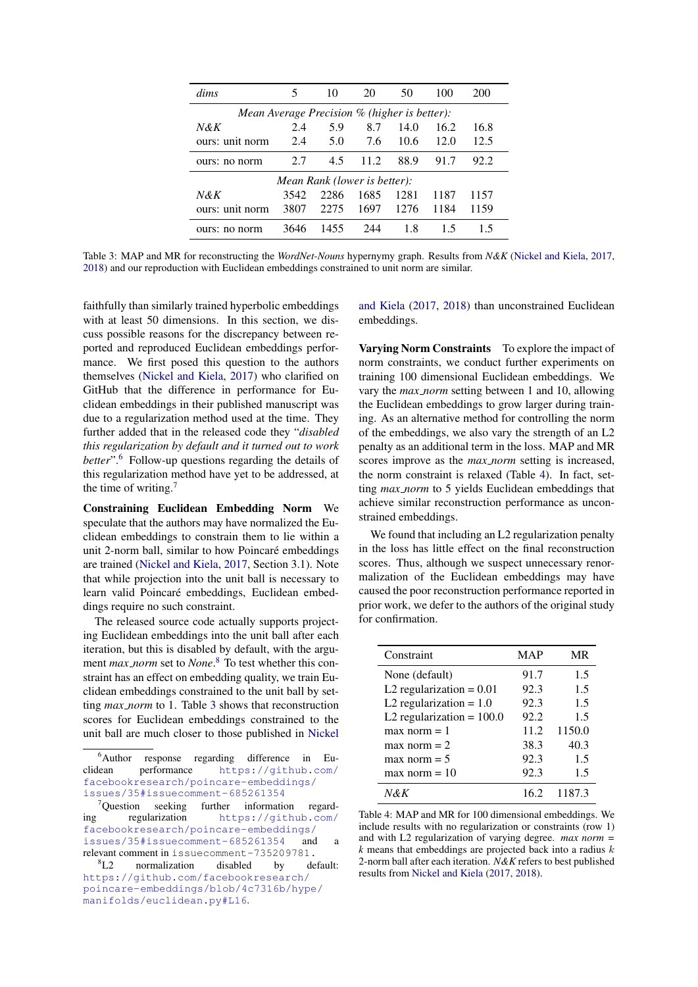<span id="page-2-3"></span>

| <i>dims</i>                                                       | 5    | 10   | 20   | 50   | 100  | 200  |
|-------------------------------------------------------------------|------|------|------|------|------|------|
| <i>Mean Average Precision <math>\%</math> (higher is better):</i> |      |      |      |      |      |      |
| $N\&K$                                                            | 2.4  | 5.9  | 8.7  | 14.0 | 16.2 | 16.8 |
| ours: unit norm                                                   | 2.4  | 5.0  | 7.6  | 10.6 | 12.0 | 12.5 |
| ours: no norm                                                     | 2.7  | 4.5  | 11.2 | 88.9 | 91.7 | 92.2 |
| Mean Rank (lower is better):                                      |      |      |      |      |      |      |
| $N\&K$                                                            | 3542 | 2286 | 1685 | 1281 | 1187 | 1157 |
| ours: unit norm                                                   | 3807 | 2275 | 1697 | 1276 | 1184 | 1159 |
| ours: no norm                                                     | 3646 | 1455 | 244  | 1.8  | 15   | 15   |

Table 3: MAP and MR for reconstructing the *WordNet-Nouns* hypernymy graph. Results from *N&K* [\(Nickel and Kiela,](#page-3-0) [2017,](#page-3-0) [2018\)](#page-3-8) and our reproduction with Euclidean embeddings constrained to unit norm are similar.

faithfully than similarly trained hyperbolic embeddings with at least 50 dimensions. In this section, we discuss possible reasons for the discrepancy between reported and reproduced Euclidean embeddings performance. We first posed this question to the authors themselves [\(Nickel and Kiela,](#page-3-0) [2017\)](#page-3-0) who clarified on GitHub that the difference in performance for Euclidean embeddings in their published manuscript was due to a regularization method used at the time. They further added that in the released code they "*disabled this regularization by default and it turned out to work better*".[6](#page-2-0) Follow-up questions regarding the details of this regularization method have yet to be addressed, at the time of writing. $<sup>7</sup>$  $<sup>7</sup>$  $<sup>7</sup>$ </sup>

Constraining Euclidean Embedding Norm We speculate that the authors may have normalized the Euclidean embeddings to constrain them to lie within a unit 2-norm ball, similar to how Poincaré embeddings are trained [\(Nickel and Kiela,](#page-3-0) [2017,](#page-3-0) Section 3.1). Note that while projection into the unit ball is necessary to learn valid Poincaré embeddings, Euclidean embeddings require no such constraint.

The released source code actually supports projecting Euclidean embeddings into the unit ball after each iteration, but this is disabled by default, with the argument *max norm* set to *None*. [8](#page-2-2) To test whether this constraint has an effect on embedding quality, we train Euclidean embeddings constrained to the unit ball by setting *max norm* to 1. Table [3](#page-2-3) shows that reconstruction scores for Euclidean embeddings constrained to the unit ball are much closer to those published in [Nickel](#page-3-0)

[and Kiela](#page-3-0) [\(2017,](#page-3-0) [2018\)](#page-3-8) than unconstrained Euclidean embeddings.

Varying Norm Constraints To explore the impact of norm constraints, we conduct further experiments on training 100 dimensional Euclidean embeddings. We vary the *max norm* setting between 1 and 10, allowing the Euclidean embeddings to grow larger during training. As an alternative method for controlling the norm of the embeddings, we also vary the strength of an L2 penalty as an additional term in the loss. MAP and MR scores improve as the *max norm* setting is increased, the norm constraint is relaxed (Table [4\)](#page-2-4). In fact, setting *max norm* to 5 yields Euclidean embeddings that achieve similar reconstruction performance as unconstrained embeddings.

We found that including an L2 regularization penalty in the loss has little effect on the final reconstruction scores. Thus, although we suspect unnecessary renormalization of the Euclidean embeddings may have caused the poor reconstruction performance reported in prior work, we defer to the authors of the original study for confirmation.

<span id="page-2-4"></span>

| Constraint                  | MAP  | MR     |
|-----------------------------|------|--------|
| None (default)              | 91.7 | 1.5    |
| L2 regularization $= 0.01$  | 92.3 | 1.5    |
| L2 regularization $= 1.0$   | 92.3 | 1.5    |
| L2 regularization = $100.0$ | 92.2 | 1.5    |
| $max norm = 1$              | 11.2 | 1150.0 |
| $max norm = 2$              | 38.3 | 40.3   |
| $max norm = 5$              | 92.3 | 1.5    |
| $max norm = 10$             | 92.3 | 1.5    |
| $N\&K$                      | 16.2 | 1187.3 |

Table 4: MAP and MR for 100 dimensional embeddings. We include results with no regularization or constraints (row 1) and with L2 regularization of varying degree. *max norm = k* means that embeddings are projected back into a radius k 2-norm ball after each iteration. *N&K* refers to best published results from [Nickel and Kiela](#page-3-0) [\(2017,](#page-3-0) [2018\)](#page-3-8).

<span id="page-2-0"></span> $6$ Author response regarding difference in Eu-<br>lean performance https://github.com/ clidean performance [https://github.com/](#page-3-0) [facebookresearch/poincare-embeddings/](#page-3-0) [issues/35#issuecomment-685261354](#page-3-0)

<span id="page-2-1"></span> $7$ [Question seeking further information regard](#page-3-0)ing regularization [https://github.com/](#page-3-0) [facebookresearch/poincare-embeddings/](#page-3-0) [issues/35#issuecomment-685261354](#page-3-0) and relevant comment in [issuecomment-735209781.](#page-3-0)

<span id="page-2-2"></span><sup>8</sup>[L2 normalization disabled by default:](#page-3-0) [https://github.com/facebookresearch/](#page-3-0) [poincare-embeddings/blob/4c7316b/hype/](#page-3-0) [manifolds/euclidean.py#L16](#page-3-0).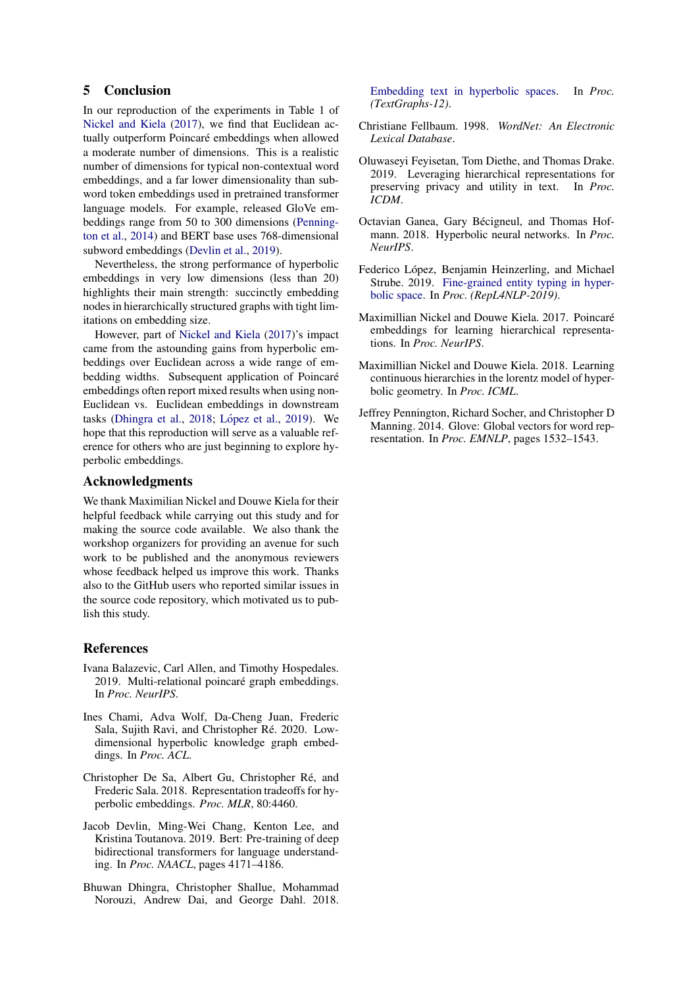### 5 Conclusion

In our reproduction of the experiments in Table 1 of [Nickel and Kiela](#page-3-0) [\(2017\)](#page-3-0), we find that Euclidean actually outperform Poincaré embeddings when allowed a moderate number of dimensions. This is a realistic number of dimensions for typical non-contextual word embeddings, and a far lower dimensionality than subword token embeddings used in pretrained transformer language models. For example, released GloVe embeddings range from 50 to 300 dimensions [\(Penning](#page-3-10)[ton et al.,](#page-3-10) [2014\)](#page-3-10) and BERT base uses 768-dimensional subword embeddings [\(Devlin et al.,](#page-3-11) [2019\)](#page-3-11).

Nevertheless, the strong performance of hyperbolic embeddings in very low dimensions (less than 20) highlights their main strength: succinctly embedding nodes in hierarchically structured graphs with tight limitations on embedding size.

However, part of [Nickel and Kiela](#page-3-0) [\(2017\)](#page-3-0)'s impact came from the astounding gains from hyperbolic embeddings over Euclidean across a wide range of embedding widths. Subsequent application of Poincaré embeddings often report mixed results when using non-Euclidean vs. Euclidean embeddings in downstream tasks [\(Dhingra et al.,](#page-3-3) [2018;](#page-3-3) López et al., [2019\)](#page-3-4). We hope that this reproduction will serve as a valuable reference for others who are just beginning to explore hyperbolic embeddings.

#### Acknowledgments

We thank Maximilian Nickel and Douwe Kiela for their helpful feedback while carrying out this study and for making the source code available. We also thank the workshop organizers for providing an avenue for such work to be published and the anonymous reviewers whose feedback helped us improve this work. Thanks also to the GitHub users who reported similar issues in the source code repository, which motivated us to publish this study.

#### References

- <span id="page-3-5"></span>Ivana Balazevic, Carl Allen, and Timothy Hospedales. 2019. Multi-relational poincaré graph embeddings. In *Proc. NeurIPS*.
- <span id="page-3-7"></span>Ines Chami, Adva Wolf, Da-Cheng Juan, Frederic Sala, Sujith Ravi, and Christopher Ré. 2020. Lowdimensional hyperbolic knowledge graph embeddings. In *Proc. ACL*.
- <span id="page-3-1"></span>Christopher De Sa, Albert Gu, Christopher Ré, and Frederic Sala. 2018. Representation tradeoffs for hyperbolic embeddings. *Proc. MLR*, 80:4460.
- <span id="page-3-11"></span>Jacob Devlin, Ming-Wei Chang, Kenton Lee, and Kristina Toutanova. 2019. Bert: Pre-training of deep bidirectional transformers for language understanding. In *Proc. NAACL*, pages 4171–4186.
- <span id="page-3-3"></span>Bhuwan Dhingra, Christopher Shallue, Mohammad Norouzi, Andrew Dai, and George Dahl. 2018.

[Embedding text in hyperbolic spaces.](https://doi.org/10.18653/v1/W18-1708) In *Proc. (TextGraphs-12)*.

- <span id="page-3-9"></span>Christiane Fellbaum. 1998. *WordNet: An Electronic Lexical Database*.
- <span id="page-3-6"></span>Oluwaseyi Feyisetan, Tom Diethe, and Thomas Drake. 2019. Leveraging hierarchical representations for preserving privacy and utility in text. In *Proc. ICDM*.
- <span id="page-3-2"></span>Octavian Ganea, Gary Bécigneul, and Thomas Hofmann. 2018. Hyperbolic neural networks. In *Proc. NeurIPS*.
- <span id="page-3-4"></span>Federico López, Benjamin Heinzerling, and Michael Strube. 2019. [Fine-grained entity typing in hyper](https://doi.org/10.18653/v1/W19-4319)[bolic space.](https://doi.org/10.18653/v1/W19-4319) In *Proc. (RepL4NLP-2019)*.
- <span id="page-3-0"></span>Maximillian Nickel and Douwe Kiela. 2017. Poincaré embeddings for learning hierarchical representations. In *Proc. NeurIPS*.
- <span id="page-3-8"></span>Maximillian Nickel and Douwe Kiela. 2018. Learning continuous hierarchies in the lorentz model of hyperbolic geometry. In *Proc. ICML*.
- <span id="page-3-10"></span>Jeffrey Pennington, Richard Socher, and Christopher D Manning. 2014. Glove: Global vectors for word representation. In *Proc. EMNLP*, pages 1532–1543.